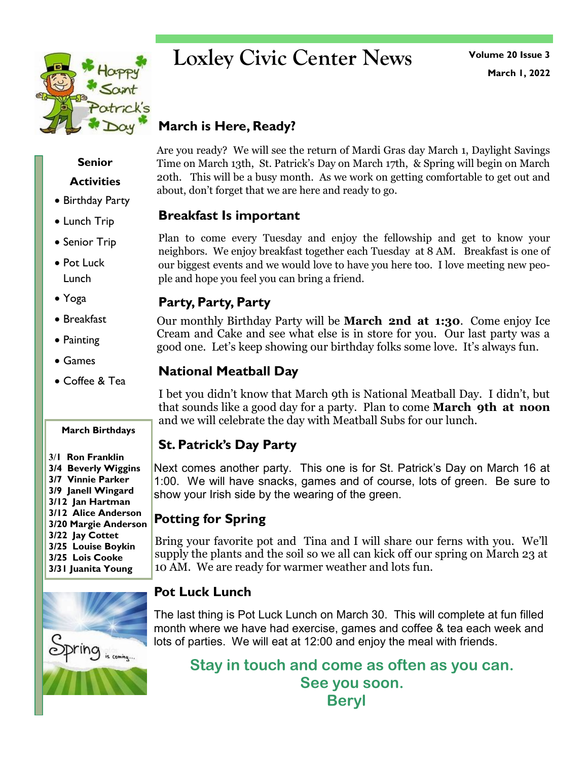

## **Loxley Civic Center News**

**March 1, 2022 Volume 20 Issue 3**

### **March is Here, Ready?**

Are you ready? We will see the return of Mardi Gras day March 1, Daylight Savings Time on March 13th, St. Patrick's Day on March 17th, & Spring will begin on March 20th. This will be a busy month. As we work on getting comfortable to get out and about, don't forget that we are here and ready to go.

#### **Breakfast Is important**

Plan to come every Tuesday and enjoy the fellowship and get to know your neighbors. We enjoy breakfast together each Tuesday at 8 AM. Breakfast is one of our biggest events and we would love to have you here too. I love meeting new people and hope you feel you can bring a friend.

#### **Party, Party, Party**

Our monthly Birthday Party will be **March 2nd at 1:30**. Come enjoy Ice Cream and Cake and see what else is in store for you. Our last party was a good one. Let's keep showing our birthday folks some love. It's always fun.

#### **National Meatball Day**

I bet you didn't know that March 9th is National Meatball Day. I didn't, but that sounds like a good day for a party. Plan to come **March 9th at noon**  and we will celebrate the day with Meatball Subs for our lunch.

#### **St. Patrick's Day Party**

Next comes another party. This one is for St. Patrick's Day on March 16 at 1:00. We will have snacks, games and of course, lots of green. Be sure to show your Irish side by the wearing of the green.

#### **Potting for Spring**

Bring your favorite pot and Tina and I will share our ferns with you. We'll supply the plants and the soil so we all can kick off our spring on March 23 at 10 AM. We are ready for warmer weather and lots fun.

#### **Pot Luck Lunch**

The last thing is Pot Luck Lunch on March 30. This will complete at fun filled month where we have had exercise, games and coffee & tea each week and lots of parties. We will eat at 12:00 and enjoy the meal with friends.

**Stay in touch and come as often as you can. See you soon. Beryl**

## **Senior**

#### **Activities**

- Birthday Party
- Lunch Trip
- Senior Trip
- Pot Luck Lunch
- Yoga
- Breakfast
- Painting
- Games
- Coffee & Tea

#### **March Birthdays**

**3/1 Ron Franklin 3/4 Beverly Wiggins 3/7 Vinnie Parker 3/9 Janell Wingard 3/12 Jan Hartman 3/12 Alice Anderson 3/20 Margie Anderson 3/22 Jay Cottet 3/25 Louise Boykin 3/25 Lois Cooke 3/31 Juanita Young**